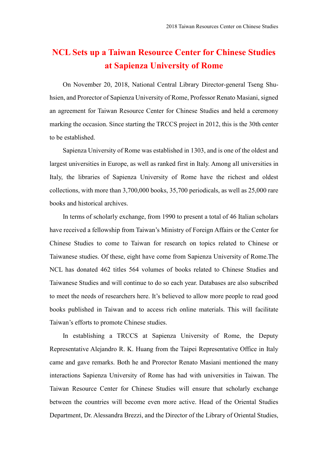## **NCL Sets up a Taiwan Resource Center for Chinese Studies at Sapienza University of Rome**

On November 20, 2018, National Central Library Director-general Tseng Shuhsien, and Prorector of Sapienza University of Rome, Professor Renato Masiani, signed an agreement for Taiwan Resource Center for Chinese Studies and held a ceremony marking the occasion. Since starting the TRCCS project in 2012, this is the 30th center to be established.

Sapienza University of Rome was established in 1303, and is one of the oldest and largest universities in Europe, as well as ranked first in Italy. Among all universities in Italy, the libraries of Sapienza University of Rome have the richest and oldest collections, with more than 3,700,000 books, 35,700 periodicals, as well as 25,000 rare books and historical archives.

In terms of scholarly exchange, from 1990 to present a total of 46 Italian scholars have received a fellowship from Taiwan's Ministry of Foreign Affairs or the Center for Chinese Studies to come to Taiwan for research on topics related to Chinese or Taiwanese studies. Of these, eight have come from Sapienza University of Rome.The NCL has donated 462 titles 564 volumes of books related to Chinese Studies and Taiwanese Studies and will continue to do so each year. Databases are also subscribed to meet the needs of researchers here. It's believed to allow more people to read good books published in Taiwan and to access rich online materials. This will facilitate Taiwan's efforts to promote Chinese studies.

In establishing a TRCCS at Sapienza University of Rome, the Deputy Representative Alejandro R. K. Huang from the Taipei Representative Office in Italy came and gave remarks. Both he and Prorector Renato Masiani mentioned the many interactions Sapienza University of Rome has had with universities in Taiwan. The Taiwan Resource Center for Chinese Studies will ensure that scholarly exchange between the countries will become even more active. Head of the Oriental Studies Department, Dr. Alessandra Brezzi, and the Director of the Library of Oriental Studies,